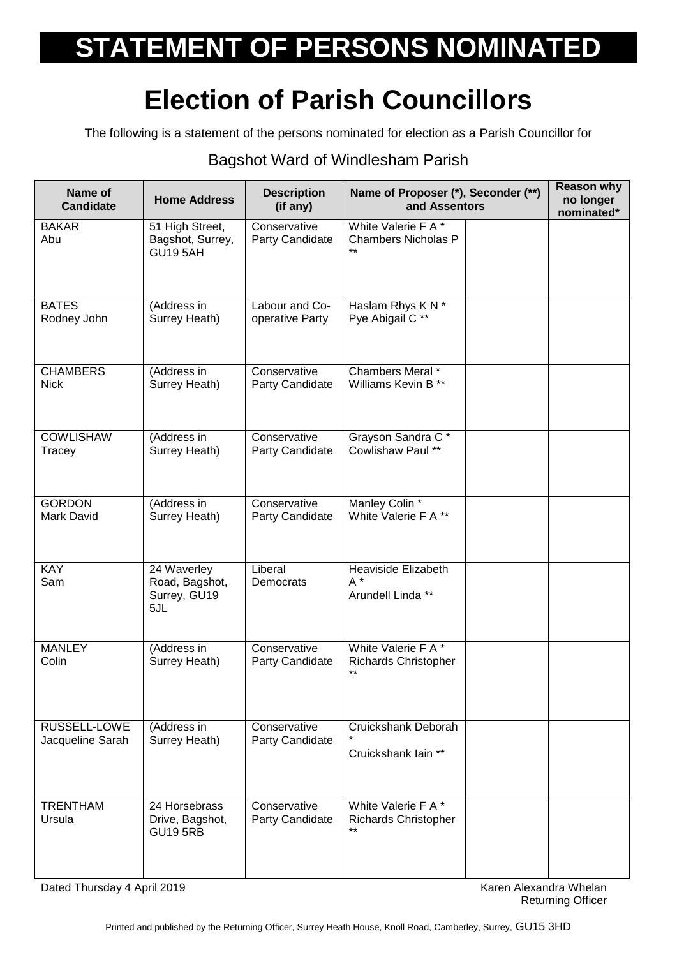## **STATEMENT OF PERSONS NOMINATED**

## **Election of Parish Councillors**

The following is a statement of the persons nominated for election as a Parish Councillor for

## Bagshot Ward of Windlesham Parish

| Name of<br><b>Candidate</b> | <b>Home Address</b>                                    | <b>Description</b><br>(if any)  | Name of Proposer (*), Seconder (**)<br>and Assentors        | <b>Reason why</b><br>no longer<br>nominated* |
|-----------------------------|--------------------------------------------------------|---------------------------------|-------------------------------------------------------------|----------------------------------------------|
| <b>BAKAR</b><br>Abu         | 51 High Street,<br>Bagshot, Surrey,<br><b>GU19 5AH</b> | Conservative<br>Party Candidate | White Valerie F A *<br><b>Chambers Nicholas P</b>           |                                              |
| <b>BATES</b>                | (Address in                                            | Labour and Co-                  | Haslam Rhys K N *                                           |                                              |
| Rodney John                 | Surrey Heath)                                          | operative Party                 | Pye Abigail C **                                            |                                              |
| <b>CHAMBERS</b>             | (Address in                                            | Conservative                    | Chambers Meral *                                            |                                              |
| <b>Nick</b>                 | Surrey Heath)                                          | Party Candidate                 | Williams Kevin B <sup>**</sup>                              |                                              |
| <b>COWLISHAW</b>            | (Address in                                            | Conservative                    | Grayson Sandra C*                                           |                                              |
| Tracey                      | Surrey Heath)                                          | Party Candidate                 | Cowlishaw Paul **                                           |                                              |
| <b>GORDON</b>               | (Address in                                            | Conservative                    | Manley Colin *                                              |                                              |
| <b>Mark David</b>           | Surrey Heath)                                          | Party Candidate                 | White Valerie F A **                                        |                                              |
| <b>KAY</b><br>Sam           | 24 Waverley<br>Road, Bagshot,<br>Surrey, GU19<br>5JL   | Liberal<br>Democrats            | Heaviside Elizabeth<br>$A^*$<br>Arundell Linda **           |                                              |
| <b>MANLEY</b><br>Colin      | (Address in<br>Surrey Heath)                           | Conservative<br>Party Candidate | White Valerie F A *<br><b>Richards Christopher</b><br>$***$ |                                              |
| RUSSELL-LOWE                | (Address in                                            | Conservative                    | Cruickshank Deborah                                         |                                              |
| Jacqueline Sarah            | Surrey Heath)                                          | Party Candidate                 | Cruickshank lain **                                         |                                              |
| <b>TRENTHAM</b><br>Ursula   | 24 Horsebrass<br>Drive, Bagshot,<br><b>GU19 5RB</b>    | Conservative<br>Party Candidate | White Valerie F A*<br><b>Richards Christopher</b><br>$***$  |                                              |

Dated Thursday 4 April 2019 **Karen Alexandra Whelan** Bated Thursday 4 April 2019

Returning Officer